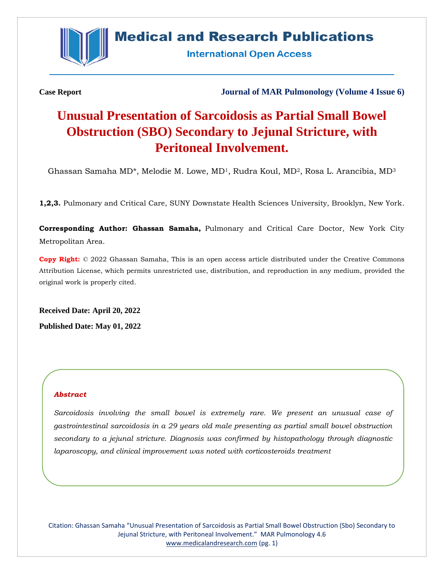

# **Medical and Research Publications**

**International Open Access** 

**Case Report Journal of MAR Pulmonology (Volume 4 Issue 6)**

# **Unusual Presentation of Sarcoidosis as Partial Small Bowel Obstruction (SBO) Secondary to Jejunal Stricture, with Peritoneal Involvement.**

Ghassan Samaha MD\*, Melodie M. Lowe, MD1, Rudra Koul, MD2, Rosa L. Arancibia, MD<sup>3</sup>

**1,2,3.** Pulmonary and Critical Care, SUNY Downstate Health Sciences University, Brooklyn, New York.

**Corresponding Author: Ghassan Samaha,** Pulmonary and Critical Care Doctor, New York City Metropolitan Area.

**Copy Right:** © 2022 Ghassan Samaha, This is an open access article distributed under the Creative Commons Attribution License, which permits unrestricted use, distribution, and reproduction in any medium, provided the original work is properly cited.

**Received Date: April 20, 2022 Published Date: May 01, 2022**

# *Abstract*

*Sarcoidosis involving the small bowel is extremely rare. We present an unusual case of gastrointestinal sarcoidosis in a 29 years old male presenting as partial small bowel obstruction secondary to a jejunal stricture. Diagnosis was confirmed by histopathology through diagnostic laparoscopy, and clinical improvement was noted with corticosteroids treatment*

Citation: Ghassan Samaha "Unusual Presentation of Sarcoidosis as Partial Small Bowel Obstruction (Sbo) Secondary to Jejunal Stricture, with Peritoneal Involvement." MAR Pulmonology 4.6 [www.medicalandresearch.com](http://www.medicalandresearch.com/) (pg. 1)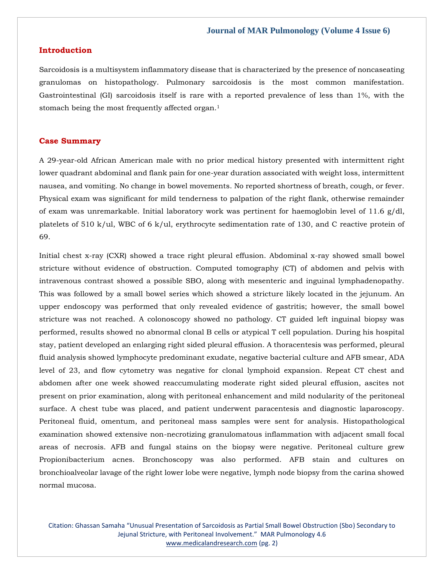#### **Introduction**

Sarcoidosis is a multisystem inflammatory disease that is characterized by the presence of noncaseating granulomas on histopathology. Pulmonary sarcoidosis is the most common manifestation. Gastrointestinal (GI) sarcoidosis itself is rare with a reported prevalence of less than 1%, with the stomach being the most frequently affected organ.<sup>1</sup>

#### **Case Summary**

A 29-year-old African American male with no prior medical history presented with intermittent right lower quadrant abdominal and flank pain for one-year duration associated with weight loss, intermittent nausea, and vomiting. No change in bowel movements. No reported shortness of breath, cough, or fever. Physical exam was significant for mild tenderness to palpation of the right flank, otherwise remainder of exam was unremarkable. Initial laboratory work was pertinent for haemoglobin level of 11.6 g/dl, platelets of 510 k/ul, WBC of 6 k/ul, erythrocyte sedimentation rate of 130, and C reactive protein of 69.

Initial chest x-ray (CXR) showed a trace right pleural effusion. Abdominal x-ray showed small bowel stricture without evidence of obstruction. Computed tomography (CT) of abdomen and pelvis with intravenous contrast showed a possible SBO, along with mesenteric and inguinal lymphadenopathy. This was followed by a small bowel series which showed a stricture likely located in the jejunum. An upper endoscopy was performed that only revealed evidence of gastritis; however, the small bowel stricture was not reached. A colonoscopy showed no pathology. CT guided left inguinal biopsy was performed, results showed no abnormal clonal B cells or atypical T cell population. During his hospital stay, patient developed an enlarging right sided pleural effusion. A thoracentesis was performed, pleural fluid analysis showed lymphocyte predominant exudate, negative bacterial culture and AFB smear, ADA level of 23, and flow cytometry was negative for clonal lymphoid expansion. Repeat CT chest and abdomen after one week showed reaccumulating moderate right sided pleural effusion, ascites not present on prior examination, along with peritoneal enhancement and mild nodularity of the peritoneal surface. A chest tube was placed, and patient underwent paracentesis and diagnostic laparoscopy. Peritoneal fluid, omentum, and peritoneal mass samples were sent for analysis. Histopathological examination showed extensive non-necrotizing granulomatous inflammation with adjacent small focal areas of necrosis. AFB and fungal stains on the biopsy were negative. Peritoneal culture grew Propionibacterium acnes. Bronchoscopy was also performed. AFB stain and cultures on bronchioalveolar lavage of the right lower lobe were negative, lymph node biopsy from the carina showed normal mucosa.

Citation: Ghassan Samaha "Unusual Presentation of Sarcoidosis as Partial Small Bowel Obstruction (Sbo) Secondary to Jejunal Stricture, with Peritoneal Involvement." MAR Pulmonology 4.6 [www.medicalandresearch.com](http://www.medicalandresearch.com/) (pg. 2)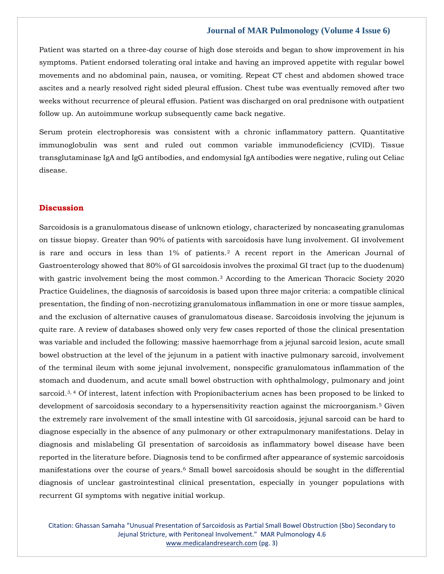#### **Journal of MAR Pulmonology (Volume 4 Issue 6)**

Patient was started on a three-day course of high dose steroids and began to show improvement in his symptoms. Patient endorsed tolerating oral intake and having an improved appetite with regular bowel movements and no abdominal pain, nausea, or vomiting. Repeat CT chest and abdomen showed trace ascites and a nearly resolved right sided pleural effusion. Chest tube was eventually removed after two weeks without recurrence of pleural effusion. Patient was discharged on oral prednisone with outpatient follow up. An autoimmune workup subsequently came back negative.

Serum protein electrophoresis was consistent with a chronic inflammatory pattern. Quantitative immunoglobulin was sent and ruled out common variable immunodeficiency (CVID). Tissue transglutaminase IgA and IgG antibodies, and endomysial IgA antibodies were negative, ruling out Celiac disease.

#### **Discussion**

Sarcoidosis is a granulomatous disease of unknown etiology, characterized by noncaseating granulomas on tissue biopsy. Greater than 90% of patients with sarcoidosis have lung involvement. GI involvement is rare and occurs in less than  $1\%$  of patients.<sup>2</sup> A recent report in the American Journal of Gastroenterology showed that 80% of GI sarcoidosis involves the proximal GI tract (up to the duodenum) with gastric involvement being the most common.<sup>3</sup> According to the American Thoracic Society 2020 Practice Guidelines, the diagnosis of sarcoidosis is based upon three major criteria: a compatible clinical presentation, the finding of non-necrotizing granulomatous inflammation in one or more tissue samples, and the exclusion of alternative causes of granulomatous disease. Sarcoidosis involving the jejunum is quite rare. A review of databases showed only very few cases reported of those the clinical presentation was variable and included the following: massive haemorrhage from a jejunal sarcoid lesion, acute small bowel obstruction at the level of the jejunum in a patient with inactive pulmonary sarcoid, involvement of the terminal ileum with some jejunal involvement, nonspecific granulomatous inflammation of the stomach and duodenum, and acute small bowel obstruction with ophthalmology, pulmonary and joint sarcoid.<sup>3, 4</sup> Of interest, latent infection with Propionibacterium acnes has been proposed to be linked to development of sarcoidosis secondary to a hypersensitivity reaction against the microorganism.<sup>5</sup> Given the extremely rare involvement of the small intestine with GI sarcoidosis, jejunal sarcoid can be hard to diagnose especially in the absence of any pulmonary or other extrapulmonary manifestations. Delay in diagnosis and mislabeling GI presentation of sarcoidosis as inflammatory bowel disease have been reported in the literature before. Diagnosis tend to be confirmed after appearance of systemic sarcoidosis manifestations over the course of years.<sup>6</sup> Small bowel sarcoidosis should be sought in the differential diagnosis of unclear gastrointestinal clinical presentation, especially in younger populations with recurrent GI symptoms with negative initial workup.

Citation: Ghassan Samaha "Unusual Presentation of Sarcoidosis as Partial Small Bowel Obstruction (Sbo) Secondary to Jejunal Stricture, with Peritoneal Involvement." MAR Pulmonology 4.6 [www.medicalandresearch.com](http://www.medicalandresearch.com/) (pg. 3)